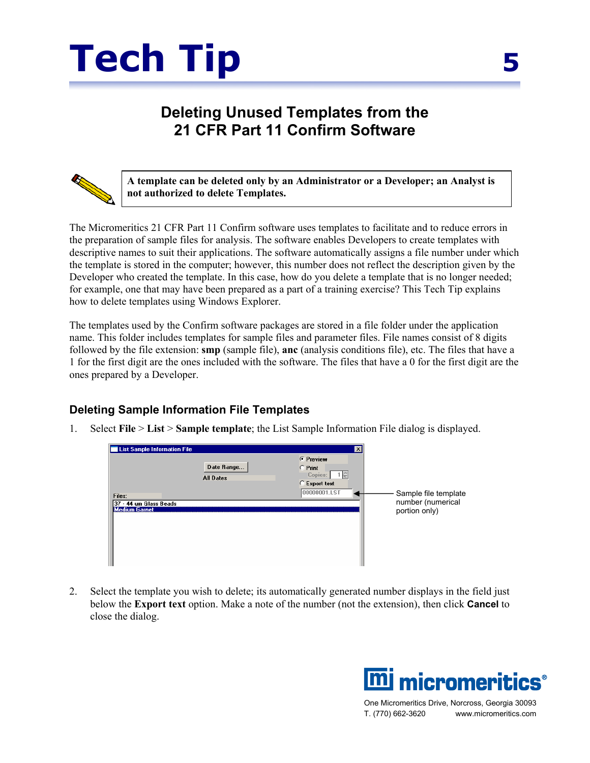

## **Deleting Unused Templates from the 21 CFR Part 11 Confirm Software**



**A template can be deleted only by an Administrator or a Developer; an Analyst is not authorized to delete Templates.** 

The Micromeritics 21 CFR Part 11 Confirm software uses templates to facilitate and to reduce errors in the preparation of sample files for analysis. The software enables Developers to create templates with descriptive names to suit their applications. The software automatically assigns a file number under which the template is stored in the computer; however, this number does not reflect the description given by the Developer who created the template. In this case, how do you delete a template that is no longer needed; for example, one that may have been prepared as a part of a training exercise? This Tech Tip explains how to delete templates using Windows Explorer.

The templates used by the Confirm software packages are stored in a file folder under the application name. This folder includes templates for sample files and parameter files. File names consist of 8 digits followed by the file extension: **smp** (sample file), **anc** (analysis conditions file), etc. The files that have a 1 for the first digit are the ones included with the software. The files that have a 0 for the first digit are the ones prepared by a Developer.

## **Deleting Sample Information File Templates**

1. Select **File** > **List** > **Sample template**; the List Sample Information File dialog is displayed.

| List Sample Information File                   |                                | $\times$                                                                        |                                    |
|------------------------------------------------|--------------------------------|---------------------------------------------------------------------------------|------------------------------------|
| Files:                                         | Date Range<br><b>All Dates</b> | <b>C</b> Preview<br>$C$ Print<br>Copies:<br>1음<br>C Export text<br>00000001.LST | Sample file template               |
| 37 - 44 um Glass Beads<br><b>Medium Garnet</b> |                                |                                                                                 | number (numerical<br>portion only) |

2. Select the template you wish to delete; its automatically generated number displays in the field just below the **Export text** option. Make a note of the number (not the extension), then click **Cancel** to close the dialog.



One Micromeritics Drive, Norcross, Georgia 30093 T. (770) 662-3620 www.micromeritics.com